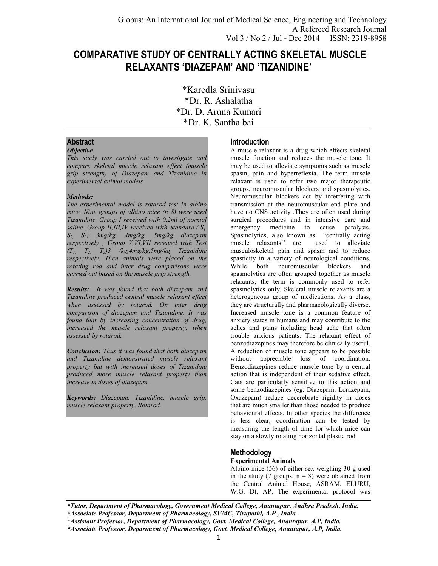# **COMPARATIVE STUDY OF CENTRALLY ACTING SKELETAL MUSCLE RELAXANTS 'DIAZEPAM' AND 'TIZANIDINE'**

\*Karedla Srinivasu \*Dr. R. Ashalatha \*Dr. D. Aruna Kumari \*Dr. K. Santha bai

# **Abstract**

# *Objective*

*This study was carried out to investigate and compare skeletal muscle relaxant effect (muscle grip strength) of Diazepam and Tizanidine in experimental animal models.* 

# *Methods:*

*The experimental model is rotarod test in albino*  mice. Nine groups of albino mice (n=8) were used *Tizanidine. Group I received with 0.2ml of normal saline ,Group II,III,IV received with Standard ( S1, S2, S3) 3mg/kg, 4mg/kg, 5mg/kg diazepam respectively , Group V,VI,VII received with Test (T1, T2, T3)3 /kg,4mg/kg,5mg/kg Tizanidine respectively. Then animals were placed on the rotating rod and inter drug comparisons were carried out based on the muscle grip strength.* 

*Results: It was found that both diazepam and Tizanidine produced central muscle relaxant effect when assessed by rotarod. On inter drug comparison of diazepam and Tizanidine. It was found that by increasing concentration of drug, increased the muscle relaxant property, when assessed by rotarod.* 

*Conclusion: Thus it was found that both diazepam and Tizanidine demonstrated muscle relaxant property but with increased doses of Tizanidine produced more muscle relaxant property than increase in doses of diazepam.* 

*Keywords: Diazepam, Tizanidine, muscle grip, muscle relaxant property, Rotarod.* 

# **Introduction**

A muscle relaxant is a drug which effects skeletal muscle function and reduces the muscle tone. It may be used to alleviate symptoms such as muscle spasm, pain and hyperreflexia. The term muscle relaxant is used to refer two major therapeutic groups, neuromuscular blockers and spasmolytics. Neuromuscular blockers act by interfering with transmission at the neuromuscular end plate and have no CNS activity .They are often used during surgical procedures and in intensive care and<br>emergency medicine to cause paralysis. medicine to cause paralysis. Spasmolytics, also known as "centrally acting<br>muscle relaxants" are used to alleviate muscle relaxants'' are musculoskeletal pain and spasm and to reduce spasticity in a variety of neurological conditions. While both neuromuscular blockers and spasmolytics are often grouped together as muscle relaxants, the term is commonly used to refer spasmolytics only. Skeletal muscle relaxants are a heterogeneous group of medications. As a class, they are structurally and pharmacologically diverse. Increased muscle tone is a common feature of anxiety states in humans and may contribute to the aches and pains including head ache that often trouble anxious patients. The relaxant effect of benzodiazepines may therefore be clinically useful. A reduction of muscle tone appears to be possible without appreciable loss of coordination. Benzodiazepines reduce muscle tone by a central action that is independent of their sedative effect. Cats are particularly sensitive to this action and some benzodiazepines (eg: Diazepam, Lorazepam, Oxazepam) reduce decerebrate rigidity in doses that are much smaller than those needed to produce behavioural effects. In other species the difference is less clear, coordination can be tested by measuring the length of time for which mice can stay on a slowly rotating horizontal plastic rod.

# **Methodology**

## **Experimental Animals**

Albino mice (56) of either sex weighing 30 g used in the study (7 groups;  $n = 8$ ) were obtained from the Central Animal House, ASRAM, ELURU, W.G. Dt, AP. The experimental protocol was

*<sup>\*</sup>Tutor, Department of Pharmacology, Government Medical College, Anantapur, Andhra Pradesh, India. \*Associate Professor, Department of Pharmacology, SVMC, Tirupathi, A.P., India.* 

*<sup>\*</sup>Assistant Professor, Department of Pharmacology, Govt. Medical College, Anantapur, A.P, India. \*Associate Professor, Department of Pharmacology, Govt. Medical College, Anantapur, A.P, India.*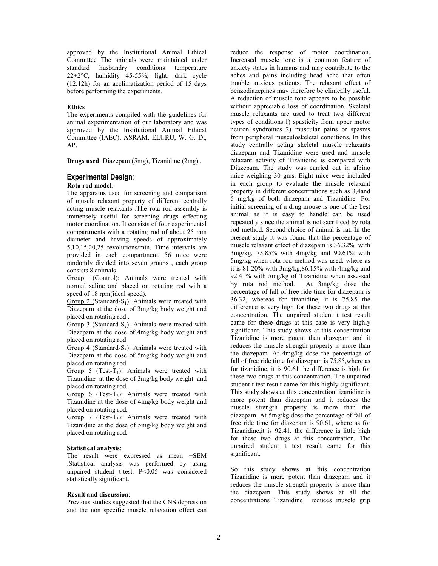approved by the Institutional Animal Ethical Committee The animals were maintained under standard husbandry conditions temperature  $22 \pm 2$ °C, humidity 45-55%, light: dark cycle (12:12h) for an acclimatization period of 15 days before performing the experiments.

#### **Ethics**

The experiments compiled with the guidelines for animal experimentation of our laboratory and was approved by the Institutional Animal Ethical Committee (IAEC), ASRAM, ELURU, W. G. Dt, AP.

**Drugs used**: Diazepam (5mg), Tizanidine (2mg) .

#### **Experimental Design**:

#### **Rota rod model**:

The apparatus used for screening and comparison of muscle relaxant property of different centrally acting muscle relaxants .The rota rod assembly is immensely useful for screening drugs effecting motor coordination. It consists of four experimental compartments with a rotating rod of about 25 mm diameter and having speeds of approximately 5,10,15,20,25 revolutions/min. Time intervals are provided in each compartment. 56 mice were randomly divided into seven groups , each group consists 8 animals

Group 1(Control): Animals were treated with normal saline and placed on rotating rod with a speed of 18 rpm(ideal speed).

Group 2 (Standard-S<sub>1</sub>): Animals were treated with Diazepam at the dose of 3mg/kg body weight and placed on rotating rod .

Group 3 (Standard-S<sub>2</sub>): Animals were treated with Diazepam at the dose of 4mg/kg body weight and placed on rotating rod

Group 4 (Standard-S<sub>3</sub>): Animals were treated with Diazepam at the dose of 5mg/kg body weight and placed on rotating rod

Group 5 (Test-T<sub>1</sub>): Animals were treated with Tizanidine at the dose of 3mg/kg body weight and placed on rotating rod.

Group 6 (Test-T<sub>2</sub>): Animals were treated with Tizanidine at the dose of 4mg/kg body weight and placed on rotating rod.

Group 7 (Test-T<sub>3</sub>): Animals were treated with Tizanidine at the dose of 5mg/kg body weight and placed on rotating rod.

#### **Statistical analysis**:

The result were expressed as mean ±SEM .Statistical analysis was performed by using unpaired student t-test. P<0.05 was considered statistically significant.

#### **Result and discussion**:

Previous studies suggested that the CNS depression and the non specific muscle relaxation effect can reduce the response of motor coordination. Increased muscle tone is a common feature of anxiety states in humans and may contribute to the aches and pains including head ache that often trouble anxious patients. The relaxant effect of benzodiazepines may therefore be clinically useful. A reduction of muscle tone appears to be possible without appreciable loss of coordination. Skeletal muscle relaxants are used to treat two different types of conditions.1) spasticity from upper motor neuron syndromes 2) muscular pains or spasms from peripheral musculoskeletal conditions. In this study centrally acting skeletal muscle relaxants diazepam and Tizanidine were used and muscle relaxant activity of Tizanidine is compared with Diazepam. The study was carried out in albino mice weighing 30 gms. Eight mice were included in each group to evaluate the muscle relaxant property in different concentrations such as 3,4and 5 mg/kg of both diazepam and Tizanidine. For initial screening of a drug mouse is one of the best animal as it is easy to handle can be used repeatedly since the animal is not sacrificed by rota rod method. Second choice of animal is rat. In the present study it was found that the percentage of muscle relaxant effect of diazepam is 36.32% with 3mg/kg, 75.85% with 4mg/kg and 90.61% with 5mg/kg when rota rod method was used. where as it is 81.20% with 3mg/kg,86.15% with 4mg/kg and 92.41% with  $5mg/kg$  of Tizanidine when assessed<br>by rota rod method. At  $3mg/kg$  dose the At  $3mg/kg$  dose the percentage of fall of free ride time for diazepam is 36.32, whereas for tizanidine, it is 75.85 the difference is very high for these two drugs at this concentration. The unpaired student t test result came for these drugs at this case is very highly significant. This study shows at this concentration Tizanidine is more potent than diazepam and it reduces the muscle strength property is more than the diazepam. At 4mg/kg dose the percentage of fall of free ride time for diazepam is 75.85,where as for tizanidine, it is 90.61 the difference is high for these two drugs at this concentration. The unpaired student t test result came for this highly significant. This study shows at this concentration tizanidine is more potent than diazepam and it reduces the muscle strength property is more than the diazepam. At 5mg/kg dose the percentage of fall of free ride time for diazepam is 90.61, where as for Tizanidine,it is 92.41. the difference is little high for these two drugs at this concentration. The unpaired student t test result came for this significant.

So this study shows at this concentration Tizanidine is more potent than diazepam and it reduces the muscle strength property is more than the diazepam. This study shows at all the concentrations Tizanidine reduces muscle grip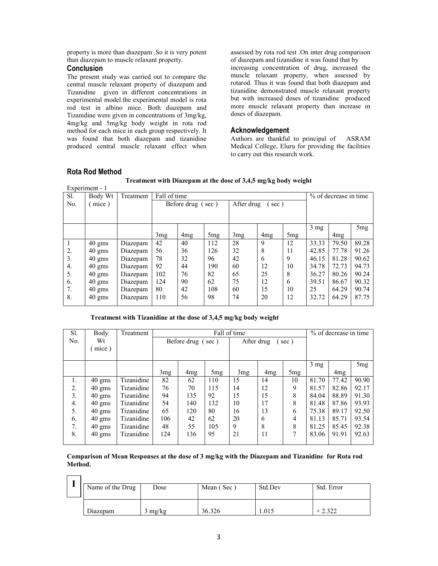property is more than diazepam .So it is very potent than diazepam to muscle relaxant property.

# **Conclusion**

The present study was carried out to compare the central muscle relaxant property of diazepam and Tizanidine given in different concentrations in experimental model.the experimental model is rota rod test in albino mice. Both diazepam and Tizanidine were given in concentrations of 3mg/kg, 4mg/kg and 5mg/kg body weight in rota rod method for each mice in each group respectively. It was found that both diazepam and tizanidine produced central muscle relaxant effect when assessed by rota rod test .On inter drug comparison of diazepam and tizanidine it was found that by increasing concentration of drug, increased the muscle relaxant property, when assessed by rotarod. Thus it was found that both diazepam and tizanidine demonstrated muscle relaxant property but with increased doses of tizanidine produced more muscle relaxant property than increase in doses of diazepam.

# **Acknowledgement**

Authors are thankful to principal of ASRAM Medical College, Eluru for providing the facilities to carry out this research work.

| -<br>Experiment - 1 |                  |           |                                         |                 |                 |     |                 |                 |                |                 |                       |  |
|---------------------|------------------|-----------|-----------------------------------------|-----------------|-----------------|-----|-----------------|-----------------|----------------|-----------------|-----------------------|--|
| Sl.                 | Body Wt          | Treatment |                                         | Fall of time    |                 |     |                 |                 |                |                 | % of decrease in time |  |
| N <sub>0</sub>      | mice)            |           | After drug<br>Before drug (sec)<br>sec) |                 |                 |     |                 |                 |                |                 |                       |  |
|                     |                  |           |                                         |                 |                 |     |                 |                 |                |                 |                       |  |
|                     |                  |           |                                         |                 |                 |     |                 |                 |                |                 |                       |  |
|                     |                  |           |                                         |                 |                 |     |                 |                 | $3 \text{ mg}$ |                 | 5mg                   |  |
|                     |                  |           | 3mg                                     | 4 <sub>mg</sub> | 5 <sub>mg</sub> | 3mg | 4 <sub>mg</sub> | 5 <sub>mg</sub> |                | 4 <sub>mg</sub> |                       |  |
|                     | $40 \text{ gms}$ | Diazepam  | 42                                      | 40              | 112             | 28  | 9               | 12              | 33.33          | 79.50           | 89.28                 |  |
| 2.                  | $40 \text{ gms}$ | Diazepam  | 56                                      | 36              | 126             | 32  | 8               | 11              | 42.85          | 77.78           | 91.26                 |  |
| 3.                  | $40 \text{ gms}$ | Diazepam  | 78                                      | 32              | 96              | 42  | 6               | 9               | 46.15          | 81.28           | 90.62                 |  |
| 4.                  | $40 \text{ gms}$ | Diazepam  | 92                                      | 44              | 190             | 60  | 12              | 10              | 34.78          | 72.73           | 94.73                 |  |
| 5.                  | $40$ gms         | Diazepam  | 102                                     | 76              | 82              | 65  | 25              | 8               | 36.27          | 80.26           | 90.24                 |  |
| 6.                  | $40$ gms         | Diazepam  | 124                                     | 90              | 62              | 75  | 12              | 6               | 39.51          | 86.67           | 90.32                 |  |
| 7.                  | $40 \text{ gms}$ | Diazepam  | 80                                      | 42              | 108             | 60  | 15              | 10              | 25             | 64.29           | 90.74                 |  |
| 8.                  | $40$ gms         | Diazepam  | 110                                     | 56              | 98              | 74  | 20              | 12              | 32.72          | 64.29           | 87.75                 |  |
|                     |                  |           |                                         |                 |                 |     |                 |                 |                |                 |                       |  |

### **Rota Rod Method**

 $\overline{ }$  $\overline{\mathsf{I}}$  **Treatment with Diazepam at the dose of 3,4,5 mg/kg body weight**

### **Treatment with Tizanidine at the dose of 3,4,5 mg/kg body weight**

| Sl.            | Body             | Treatment  | Fall of time      |                 |                    |     |     |     | % of decrease in time |                 |       |
|----------------|------------------|------------|-------------------|-----------------|--------------------|-----|-----|-----|-----------------------|-----------------|-------|
| N <sub>0</sub> | Wt               |            | Before drug (sec) |                 | After drug<br>sec) |     |     |     |                       |                 |       |
|                | mice)            |            |                   |                 |                    |     |     |     |                       |                 |       |
|                |                  |            |                   |                 |                    |     |     |     |                       |                 |       |
|                |                  |            |                   |                 |                    |     |     |     | $3 \text{ mg}$        |                 | 5mg   |
|                |                  |            | 3mg               | 4 <sub>mg</sub> | 5mg                | 3mg | 4mg | 5mg |                       | 4 <sub>mg</sub> |       |
| 1.             | $40 \text{ gms}$ | Tizanidine | 82                | 62              | 110                | 15  | 14  | 10  | 81.70                 | 77.42           | 90.90 |
| 2.             | $40 \text{ gms}$ | Tizanidine | 76                | 70              | 115                | 14  | 12  | 9   | 81.57                 | 82.86           | 92.17 |
| 3.             | $40 \text{ gms}$ | Tizanidine | 94                | 135             | 92                 | 15  | 15  | 8   | 84.04                 | 88.89           | 91.30 |
| 4.             | $40 \text{ gms}$ | Tizanidine | 54                | 140             | 132                | 10  | 17  | 8   | 81.48                 | 87.86           | 93.93 |
| 5.             | $40 \text{ gms}$ | Tizanidine | 65                | 120             | 80                 | 16  | 13  | 6   | 75.38                 | 89.17           | 92.50 |
| 6.             | $40 \text{ gms}$ | Tizanidine | 106               | 42              | 62                 | 20  | 6   | 4   | 81.13                 | 85.71           | 93.54 |
| 7.             | $40 \text{ gms}$ | Tizanidine | 48                | 55              | 105                | 9   | 8   | 8   | 81.25                 | 85.45           | 92.38 |
| 8.             | $40$ gms         | Tizanidine | 124               | 136             | 95                 | 21  | 11  | 7   | 83.06                 | 91.91           | 92.63 |
|                |                  |            |                   |                 |                    |     |     |     |                       |                 |       |

**Comparison of Mean Responses at the dose of 3 mg/kg with the Diazepam and Tizanidine for Rota rod Method.** 

| Name of the Drug | Dose              | Mean (Sec) | Std.Dev | Std. Error  |
|------------------|-------------------|------------|---------|-------------|
| Diazepam         | $3 \text{ mg/kg}$ | 36.326     | 1.015   | $+$ 220 $-$ |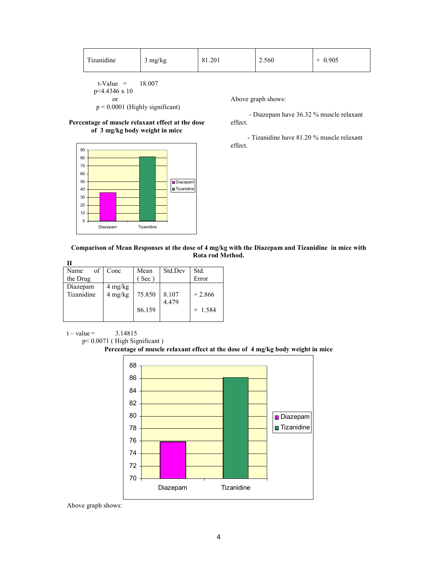| Tizanidine | 3 mg/kg | 81.201 | 2.560 | 0.905 |
|------------|---------|--------|-------|-------|
|            |         |        |       |       |

 $t-Value = 18.007$  p<4.4346 x 10 or

p < 0.0001 (Highly significant)

#### **Percentage of muscle relaxant effect at the dose of 3 mg/kg body weight in mice**



Above graph shows:

 - Diazepam have 36.32 % muscle relaxant effect.

 - Tizanidine have 81.20 % muscle relaxant effect.

### **Comparison of Mean Responses at the dose of 4 mg/kg with the Diazepam and Tizanidine in mice with Rota rod Method.**

| П          |                    |             |         |           |
|------------|--------------------|-------------|---------|-----------|
| Name<br>οf | Conc               | Mean        | Std.Dev | Std.      |
| the Drug   |                    | $($ Sec $)$ |         | Error     |
| Diazepam   |                    |             |         |           |
| Tizanidine | 4 mg/kg<br>4 mg/kg | 75.850      | 8.107   | $+2.866$  |
|            |                    |             | 4.479   |           |
|            |                    | 86.159      |         | $+ 1.584$ |
|            |                    |             |         |           |

 $t - value = 3.14815$ 

p< 0.0071 ( High Significant )





Above graph shows: